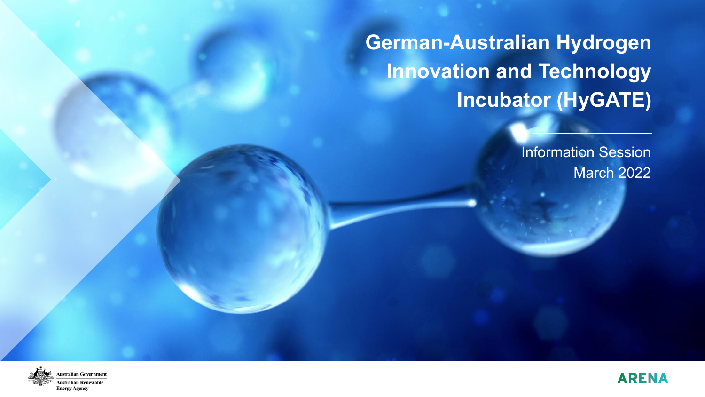**German-Australian Hydrogen Innovation and Technology Incubator (HyGATE)**

> Information Session March 2022



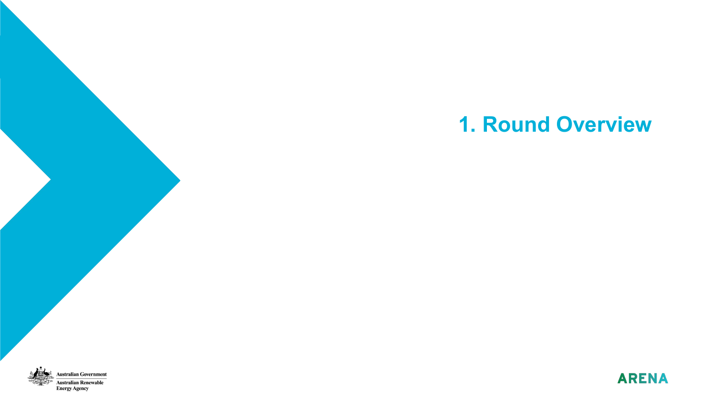# **1. Round Overview**



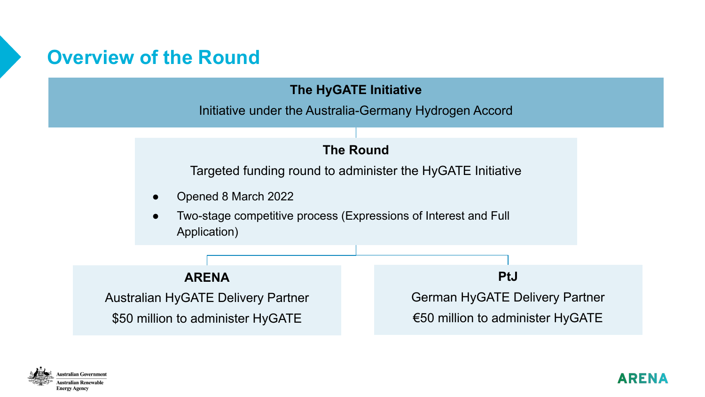## **Overview of the Round**

#### **The HyGATE Initiative**

Initiative under the Australia-Germany Hydrogen Accord

#### **The Round**

Targeted funding round to administer the HyGATE Initiative

- Opened 8 March 2022
- Two-stage competitive process (Expressions of Interest and Full Application)

#### **ARENA**

Australian HyGATE Delivery Partner \$50 million to administer HyGATE

**PtJ**

German HyGATE Delivery Partner €50 million to administer HyGATE

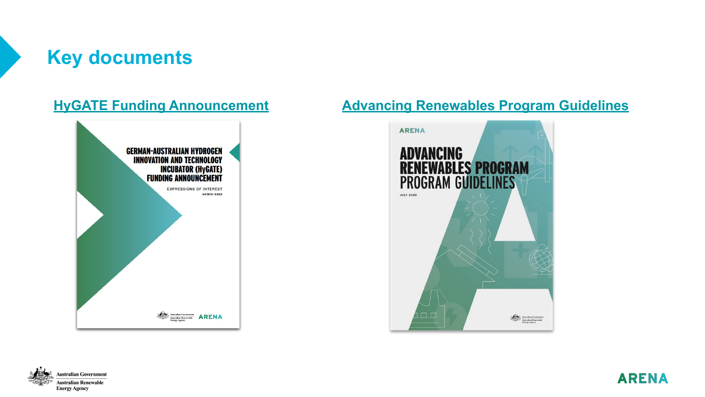## **Key documents**



#### **[HyGATE Funding Announcement](https://arena.gov.au/assets/2022/03/hygate-expression-of-interest-funding-announcement.pdf) [Advancing Renewables Program Guidelines](https://arena.gov.au/assets/2017/05/ARENA_ARP_Guidelines_FA_Single_Pages_LORES.pdf)**





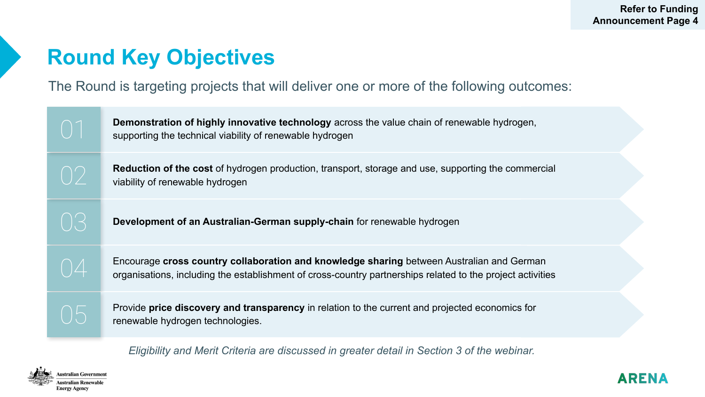# **Round Key Objectives**

The Round is targeting projects that will deliver one or more of the following outcomes:

| Reduction of the cost of hydrogen production, transport, storage and use, supporting the commercial<br>()<br>viability of renewable hydrogen<br>( ) ( –><br>Development of an Australian-German supply-chain for renewable hydrogen<br>Encourage cross country collaboration and knowledge sharing between Australian and German<br>$\bigcap \mathcal{A}$<br>organisations, including the establishment of cross-country partnerships related to the project activities<br>Provide price discovery and transparency in relation to the current and projected economics for<br>$( ) \mathcal{L}$<br>renewable hydrogen technologies. | $\bigcap$ | Demonstration of highly innovative technology across the value chain of renewable hydrogen,<br>supporting the technical viability of renewable hydrogen |  |
|-------------------------------------------------------------------------------------------------------------------------------------------------------------------------------------------------------------------------------------------------------------------------------------------------------------------------------------------------------------------------------------------------------------------------------------------------------------------------------------------------------------------------------------------------------------------------------------------------------------------------------------|-----------|---------------------------------------------------------------------------------------------------------------------------------------------------------|--|
|                                                                                                                                                                                                                                                                                                                                                                                                                                                                                                                                                                                                                                     |           |                                                                                                                                                         |  |
|                                                                                                                                                                                                                                                                                                                                                                                                                                                                                                                                                                                                                                     |           |                                                                                                                                                         |  |
|                                                                                                                                                                                                                                                                                                                                                                                                                                                                                                                                                                                                                                     |           |                                                                                                                                                         |  |
|                                                                                                                                                                                                                                                                                                                                                                                                                                                                                                                                                                                                                                     |           |                                                                                                                                                         |  |

*Eligibility and Merit Criteria are discussed in greater detail in Section 3 of the webinar.*

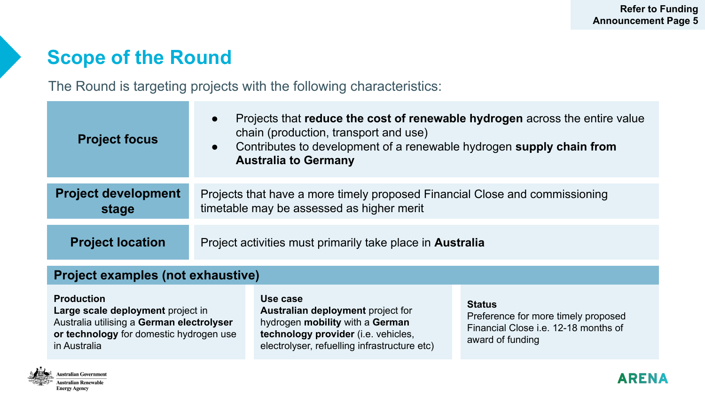## **Scope of the Round**

The Round is targeting projects with the following characteristics:

| <b>Project focus</b>                | Projects that reduce the cost of renewable hydrogen across the entire value<br>$\bullet$<br>chain (production, transport and use)<br>Contributes to development of a renewable hydrogen supply chain from<br>$\bullet$<br><b>Australia to Germany</b> |
|-------------------------------------|-------------------------------------------------------------------------------------------------------------------------------------------------------------------------------------------------------------------------------------------------------|
| <b>Project development</b><br>stage | Projects that have a more timely proposed Financial Close and commissioning<br>timetable may be assessed as higher merit                                                                                                                              |
| <b>Project location</b>             | Project activities must primarily take place in Australia                                                                                                                                                                                             |

#### **Project examples (not exhaustive)**

**Production**

**Large scale deployment** project in Australia utilising a **German electrolyser or technology** for domestic hydrogen use in Australia

**Use case Australian deployment** project for hydrogen **mobility** with a **German technology provider** (i.e. vehicles, electrolyser, refuelling infrastructure etc)

#### **Status**

Preference for more timely proposed Financial Close i.e. 12-18 months of award of funding



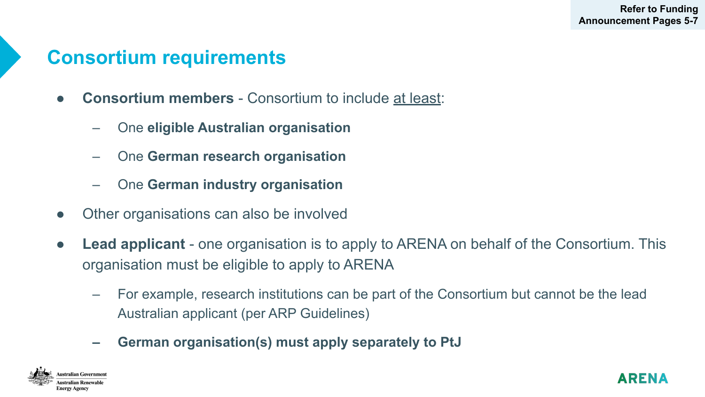## **Consortium requirements**

- **Consortium members** Consortium to include at least:
	- One **eligible Australian organisation**
	- One **German research organisation**
	- One **German industry organisation**
- Other organisations can also be involved
- **Lead applicant** one organisation is to apply to ARENA on behalf of the Consortium. This organisation must be eligible to apply to ARENA
	- For example, research institutions can be part of the Consortium but cannot be the lead Australian applicant (per ARP Guidelines)
	- **– German organisation(s) must apply separately to PtJ**



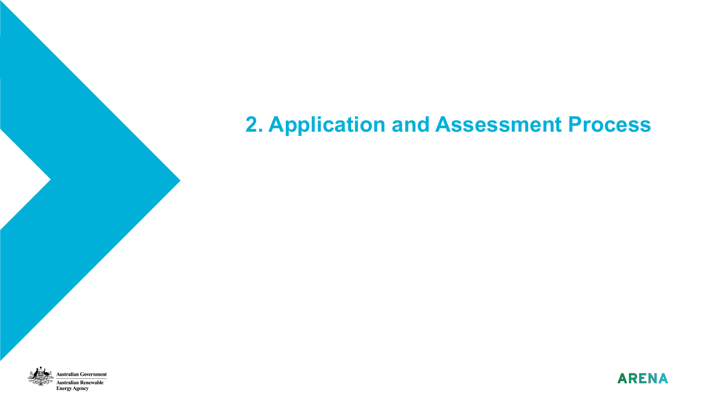## **2. Application and Assessment Process**



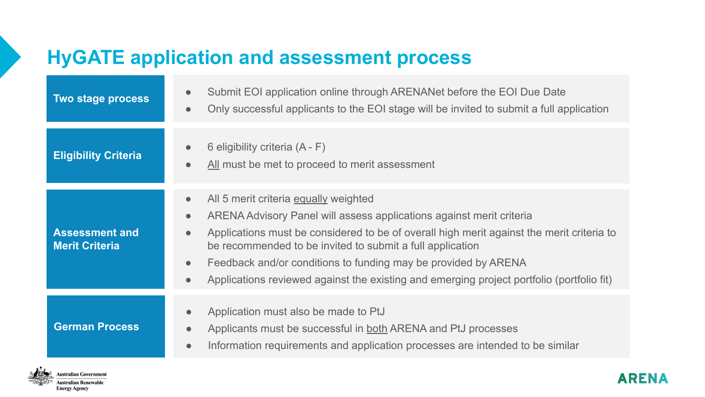## **HyGATE application and assessment process**

| Two stage process                              | Submit EOI application online through ARENANet before the EOI Due Date<br>$\bullet$<br>Only successful applicants to the EOI stage will be invited to submit a full application<br>$\bullet$                                                                                                                                                                                                                                                                                                            |
|------------------------------------------------|---------------------------------------------------------------------------------------------------------------------------------------------------------------------------------------------------------------------------------------------------------------------------------------------------------------------------------------------------------------------------------------------------------------------------------------------------------------------------------------------------------|
| <b>Eligibility Criteria</b>                    | 6 eligibility criteria $(A - F)$<br>$\bullet$<br>All must be met to proceed to merit assessment<br>$\bullet$                                                                                                                                                                                                                                                                                                                                                                                            |
| <b>Assessment and</b><br><b>Merit Criteria</b> | All 5 merit criteria equally weighted<br>$\bullet$<br>ARENA Advisory Panel will assess applications against merit criteria<br>$\bullet$<br>Applications must be considered to be of overall high merit against the merit criteria to<br>$\bullet$<br>be recommended to be invited to submit a full application<br>Feedback and/or conditions to funding may be provided by ARENA<br>$\bullet$<br>Applications reviewed against the existing and emerging project portfolio (portfolio fit)<br>$\bullet$ |
| <b>German Process</b>                          | Application must also be made to PtJ<br>Applicants must be successful in both ARENA and PtJ processes<br>$\bullet$<br>Information requirements and application processes are intended to be similar<br>$\bullet$                                                                                                                                                                                                                                                                                        |

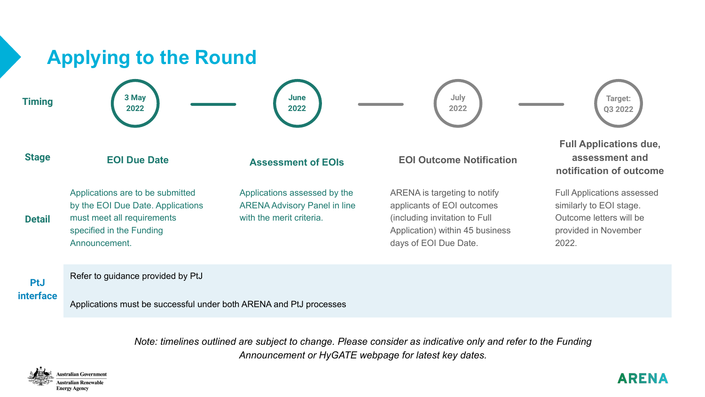

*Note: timelines outlined are subject to change. Please consider as indicative only and refer to the Funding Announcement or HyGATE webpage for latest key dates.* 



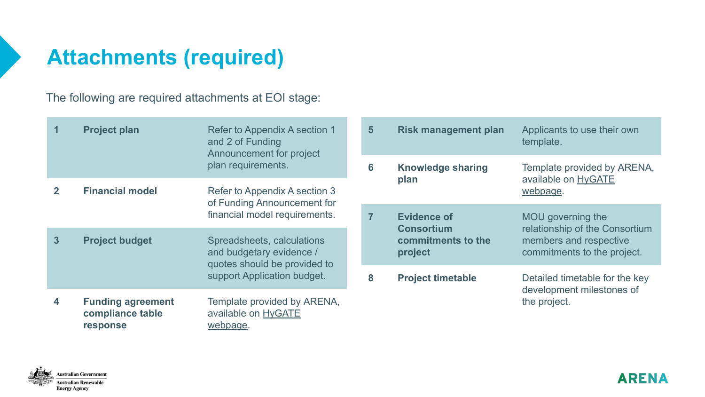# **Attachments (required)**

The following are required attachments at EOI stage:

|                | <b>Project plan</b>                                      | Refer to Appendix A section 1<br>and 2 of Funding<br>Announcement for project<br>plan requirements.                   |                | $5\phantom{1}$ | <b>Risk management plan</b>             | Applicants to use their own<br>template.                                                                     |
|----------------|----------------------------------------------------------|-----------------------------------------------------------------------------------------------------------------------|----------------|----------------|-----------------------------------------|--------------------------------------------------------------------------------------------------------------|
|                |                                                          |                                                                                                                       |                | 6              | <b>Knowledge sharing</b><br>plan        | Template provided by ARENA,<br>available on <b>HyGATE</b><br>webpage.                                        |
| $\overline{2}$ | <b>Financial model</b>                                   | Refer to Appendix A section 3<br>of Funding Announcement for                                                          |                |                |                                         |                                                                                                              |
|                |                                                          | financial model requirements.                                                                                         | $\overline{7}$ |                | <b>Evidence of</b><br><b>Consortium</b> | MOU governing the<br>relationship of the Consortium<br>members and respective<br>commitments to the project. |
| $\overline{3}$ | <b>Project budget</b>                                    | Spreadsheets, calculations<br>and budgetary evidence /<br>quotes should be provided to<br>support Application budget. |                |                | commitments to the<br>project           |                                                                                                              |
|                |                                                          |                                                                                                                       |                | 8              | <b>Project timetable</b>                | Detailed timetable for the key<br>development milestones of                                                  |
| 4              | <b>Funding agreement</b><br>compliance table<br>response | Template provided by ARENA,<br>available on <b>HyGATE</b><br>webpage.                                                 |                |                |                                         | the project.                                                                                                 |



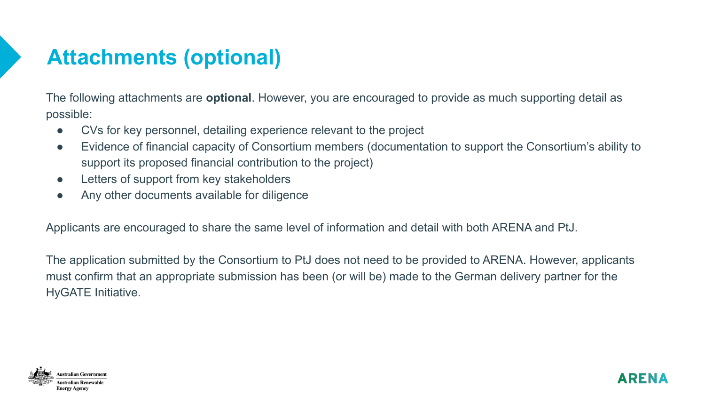# **Attachments (optional)**

The following attachments are **optional**. However, you are encouraged to provide as much supporting detail as possible:

- CVs for key personnel, detailing experience relevant to the project
- Evidence of financial capacity of Consortium members (documentation to support the Consortium's ability to support its proposed financial contribution to the project)
- Letters of support from key stakeholders
- Any other documents available for diligence

Applicants are encouraged to share the same level of information and detail with both ARENA and PtJ.

The application submitted by the Consortium to PtJ does not need to be provided to ARENA. However, applicants must confirm that an appropriate submission has been (or will be) made to the German delivery partner for the HyGATE Initiative.



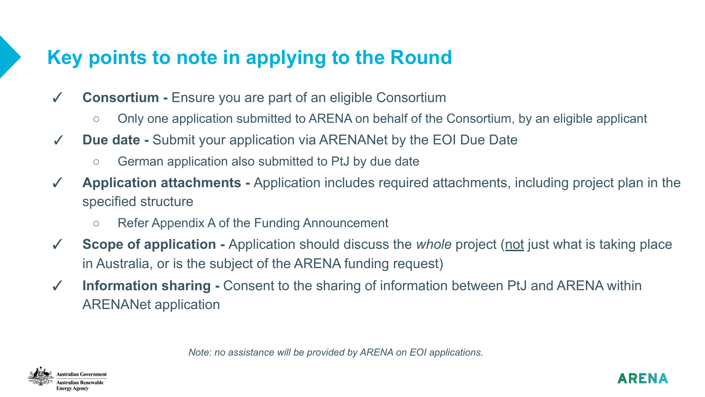## **Key points to note in applying to the Round**

- ✓ **Consortium** Ensure you are part of an eligible Consortium
	- Only one application submitted to ARENA on behalf of the Consortium, by an eligible applicant
- ✓ **Due date** Submit your application via ARENANet by the EOI Due Date
	- German application also submitted to PtJ by due date
- ✓ **Application attachments** Application includes required attachments, including project plan in the specified structure
	- Refer Appendix A of the Funding Announcement
- ✓ **Scope of application** Application should discuss the *whole* project (not just what is taking place in Australia, or is the subject of the ARENA funding request)
- ✓ **Information sharing** Consent to the sharing of information between PtJ and ARENA within ARENANet application

*Note: no assistance will be provided by ARENA on EOI applications.*



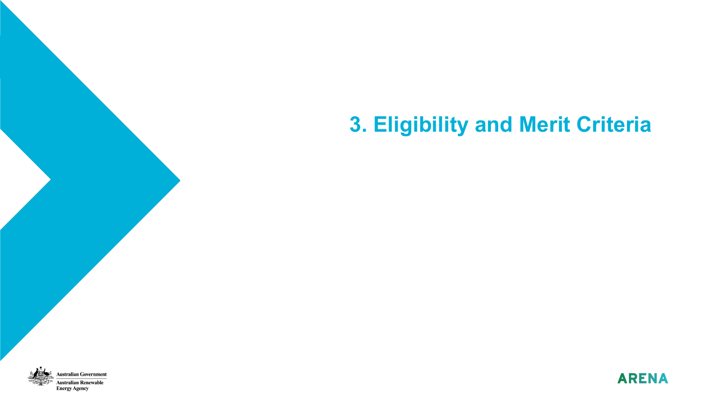# **3. Eligibility and Merit Criteria**



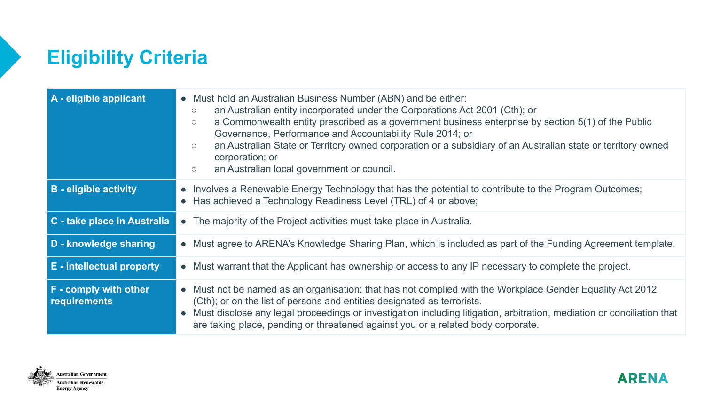# **Eligibility Criteria**

| A - eligible applicant                | • Must hold an Australian Business Number (ABN) and be either:<br>an Australian entity incorporated under the Corporations Act 2001 (Cth); or<br>$\circ$<br>a Commonwealth entity prescribed as a government business enterprise by section 5(1) of the Public<br>$\circ$<br>Governance, Performance and Accountability Rule 2014; or<br>an Australian State or Territory owned corporation or a subsidiary of an Australian state or territory owned<br>$\circ$<br>corporation; or<br>an Australian local government or council.<br>$\circ$ |
|---------------------------------------|----------------------------------------------------------------------------------------------------------------------------------------------------------------------------------------------------------------------------------------------------------------------------------------------------------------------------------------------------------------------------------------------------------------------------------------------------------------------------------------------------------------------------------------------|
| <b>B</b> - eligible activity          | • Involves a Renewable Energy Technology that has the potential to contribute to the Program Outcomes;<br>• Has achieved a Technology Readiness Level (TRL) of 4 or above;                                                                                                                                                                                                                                                                                                                                                                   |
| C - take place in Australia           | • The majority of the Project activities must take place in Australia.                                                                                                                                                                                                                                                                                                                                                                                                                                                                       |
| D - knowledge sharing                 | • Must agree to ARENA's Knowledge Sharing Plan, which is included as part of the Funding Agreement template.                                                                                                                                                                                                                                                                                                                                                                                                                                 |
| <b>E</b> - intellectual property      | • Must warrant that the Applicant has ownership or access to any IP necessary to complete the project.                                                                                                                                                                                                                                                                                                                                                                                                                                       |
| F - comply with other<br>requirements | • Must not be named as an organisation: that has not complied with the Workplace Gender Equality Act 2012<br>(Cth); or on the list of persons and entities designated as terrorists.<br>• Must disclose any legal proceedings or investigation including litigation, arbitration, mediation or conciliation that<br>are taking place, pending or threatened against you or a related body corporate.                                                                                                                                         |

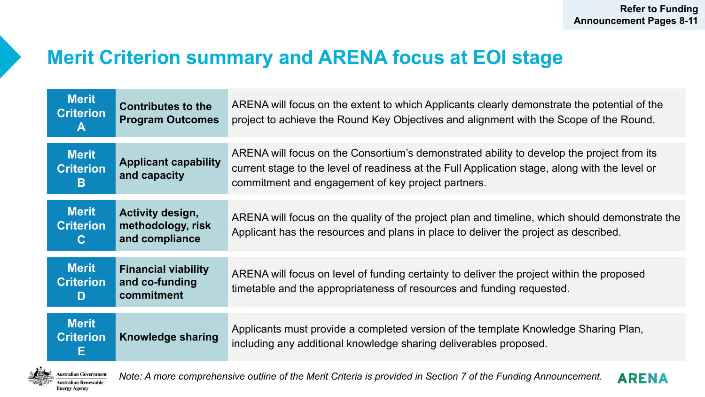## **Merit Criterion summary and ARENA focus at EOI stage**

| <b>Merit</b><br><b>Criterion</b><br>A            | <b>Contributes to the</b><br><b>Program Outcomes</b>       | ARENA will focus on the extent to which Applicants clearly demonstrate the potential of the<br>project to achieve the Round Key Objectives and alignment with the Scope of the Round.                                                             |
|--------------------------------------------------|------------------------------------------------------------|---------------------------------------------------------------------------------------------------------------------------------------------------------------------------------------------------------------------------------------------------|
| <b>Merit</b><br><b>Criterion</b><br>в            | <b>Applicant capability</b><br>and capacity                | ARENA will focus on the Consortium's demonstrated ability to develop the project from its<br>current stage to the level of readiness at the Full Application stage, along with the level or<br>commitment and engagement of key project partners. |
| <b>Merit</b><br><b>Criterion</b><br>$\mathbf{C}$ | Activity design,<br>methodology, risk<br>and compliance    | ARENA will focus on the quality of the project plan and timeline, which should demonstrate the<br>Applicant has the resources and plans in place to deliver the project as described.                                                             |
| <b>Merit</b><br><b>Criterion</b><br>D            | <b>Financial viability</b><br>and co-funding<br>commitment | ARENA will focus on level of funding certainty to deliver the project within the proposed<br>timetable and the appropriateness of resources and funding requested.                                                                                |
| <b>Merit</b><br><b>Criterion</b><br>Е            | <b>Knowledge sharing</b>                                   | Applicants must provide a completed version of the template Knowledge Sharing Plan,<br>including any additional knowledge sharing deliverables proposed.                                                                                          |

stralian Government stralian Renewable **Energy Agency** 

*Note: A more comprehensive outline of the Merit Criteria is provided in Section 7 of the Funding Announcement.* 

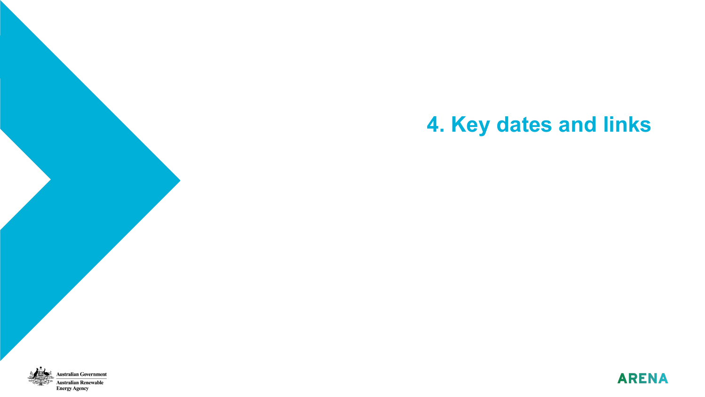